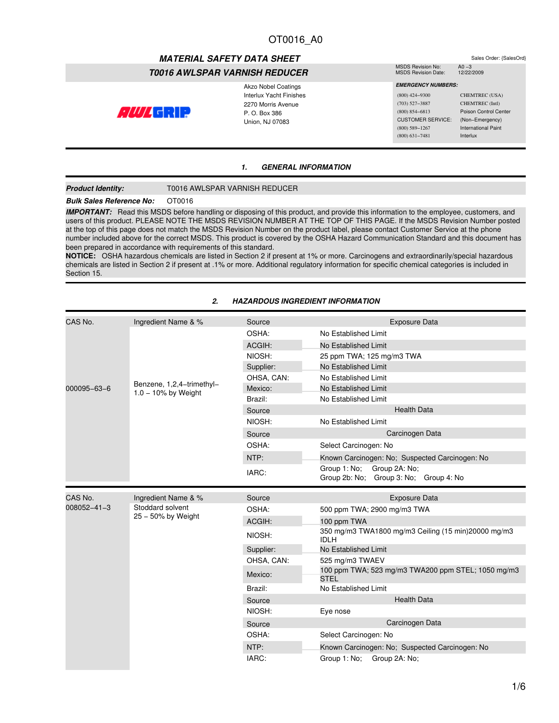# **MATERIAL SAFETY DATA SHEET** Sales Order: {SalesOrd}<br>
MSDS Revision No: A0 –3

# *T0016 AWLSPAR VARNISH REDUCER*

Akzo Nobel Coatings Interlux Yacht Finishes 2270 Morris Avenue  $C/11/1$  call  $\Box$ P. O. Box 386 Union, NJ 07083

#### MSDS Revision No: A0 −3<br>MSDS Revision Date: 12/22/2009 MSDS Revision Date:

 *EMERGENCY NUMBERS:* (800) 424−9300 CHEMTREC (USA) (703) 527−3887 CHEMTREC (Intl) (800) 854−6813 Poison Control Center CUSTOMER SERVICE: (Non−Emergency) (800) 589−1267 International Paint (800) 631−7481 Interlux

### *1. GENERAL INFORMATION*

#### **Product Identity:** T0016 AWLSPAR VARNISH REDUCER

# **Bulk Sales Reference No: OT0016**

*IMPORTANT:* Read this MSDS before handling or disposing of this product, and provide this information to the employee, customers, and users of this product. PLEASE NOTE THE MSDS REVISION NUMBER AT THE TOP OF THIS PAGE. If the MSDS Revision Number posted at the top of this page does not match the MSDS Revision Number on the product label, please contact Customer Service at the phone number included above for the correct MSDS. This product is covered by the OSHA Hazard Communication Standard and this document has been prepared in accordance with requirements of this standard.

**NOTICE:** OSHA hazardous chemicals are listed in Section 2 if present at 1% or more. Carcinogens and extraordinarily/special hazardous chemicals are listed in Section 2 if present at .1% or more. Additional regulatory information for specific chemical categories is included in Section 15.

| CAS No.     | Ingredient Name & %                                 | Source     | <b>Exposure Data</b>                                                    |  |  |
|-------------|-----------------------------------------------------|------------|-------------------------------------------------------------------------|--|--|
|             |                                                     | OSHA:      | No Established Limit                                                    |  |  |
|             |                                                     | ACGIH:     | No Established Limit                                                    |  |  |
|             |                                                     | NIOSH:     | 25 ppm TWA; 125 mg/m3 TWA                                               |  |  |
|             |                                                     | Supplier:  | No Established Limit                                                    |  |  |
|             |                                                     | OHSA, CAN: | No Established Limit                                                    |  |  |
| 000095-63-6 | Benzene, 1,2,4-trimethyl-<br>$1.0 - 10\%$ by Weight | Mexico:    | No Established Limit                                                    |  |  |
|             |                                                     | Brazil:    | No Established Limit                                                    |  |  |
|             |                                                     | Source     | <b>Health Data</b>                                                      |  |  |
|             |                                                     | NIOSH:     | No Established Limit                                                    |  |  |
|             |                                                     | Source     | Carcinogen Data                                                         |  |  |
|             |                                                     | OSHA:      | Select Carcinogen: No                                                   |  |  |
|             |                                                     | NTP:       | Known Carcinogen: No; Suspected Carcinogen: No                          |  |  |
|             |                                                     | IARC:      | Group 1: No:<br>Group 2A: No:<br>Group 2b: No; Group 3: No; Group 4: No |  |  |
| CAS No.     | Ingredient Name & %                                 | Source     | <b>Exposure Data</b>                                                    |  |  |
| 008052-41-3 | Stoddard solvent<br>$25 - 50\%$ by Weight           | OSHA:      | 500 ppm TWA; 2900 mg/m3 TWA                                             |  |  |
|             |                                                     | ACGIH:     | 100 ppm TWA                                                             |  |  |
|             |                                                     | NIOSH:     | 350 mg/m3 TWA1800 mg/m3 Ceiling (15 min)20000 mg/m3<br><b>IDLH</b>      |  |  |
|             |                                                     | Supplier:  | No Established Limit                                                    |  |  |
|             |                                                     | OHSA, CAN: | 525 mg/m3 TWAEV                                                         |  |  |
|             |                                                     | Mexico:    | 100 ppm TWA; 523 mg/m3 TWA200 ppm STEL; 1050 mg/m3<br><b>STEL</b>       |  |  |
|             |                                                     | Brazil:    | No Established Limit                                                    |  |  |
|             |                                                     | Source     | <b>Health Data</b>                                                      |  |  |

NIOSH: Eye nose

OSHA: Select Carcinogen: No

IARC: Group 1: No; Group 2A: No;

Source Carcinogen Data

NTP: **Known Carcinogen: No; Suspected Carcinogen: No** 

### *2. HAZARDOUS INGREDIENT INFORMATION*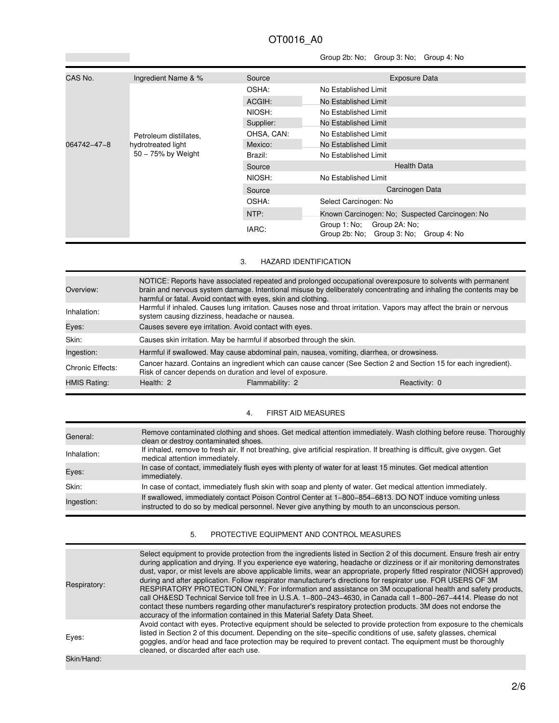# Group 2b: No; Group 3: No; Group 4: No

| CAS No.     | Ingredient Name & %                      | Source     | <b>Exposure Data</b>                                                       |  |
|-------------|------------------------------------------|------------|----------------------------------------------------------------------------|--|
|             |                                          | OSHA:      | No Established Limit                                                       |  |
|             |                                          | ACGIH:     | No Established Limit                                                       |  |
|             |                                          | NIOSH:     | No Established Limit                                                       |  |
|             |                                          | Supplier:  | No Established Limit                                                       |  |
|             | Petroleum distillates.                   | OHSA, CAN: | No Established Limit                                                       |  |
| 064742-47-8 | hydrotreated light<br>50 - 75% by Weight | Mexico:    | No Established Limit                                                       |  |
|             |                                          | Brazil:    | No Established Limit                                                       |  |
|             |                                          | Source     | <b>Health Data</b>                                                         |  |
|             |                                          | NIOSH:     | No Established Limit                                                       |  |
|             |                                          | Source     | Carcinogen Data                                                            |  |
|             |                                          | OSHA:      | Select Carcinogen: No                                                      |  |
|             |                                          | NTP:       | Known Carcinogen: No; Suspected Carcinogen: No                             |  |
|             |                                          | IARC:      | Group 1: No:<br>Group 2A: No;<br>Group 2b: No: Group 3: No:<br>Group 4: No |  |

# 3. HAZARD IDENTIFICATION

| Overview:           | NOTICE: Reports have associated repeated and prolonged occupational overexposure to solvents with permanent<br>brain and nervous system damage. Intentional misuse by deliberately concentrating and inhaling the contents may be<br>harmful or fatal. Avoid contact with eyes, skin and clothing. |                                                                                                                  |               |
|---------------------|----------------------------------------------------------------------------------------------------------------------------------------------------------------------------------------------------------------------------------------------------------------------------------------------------|------------------------------------------------------------------------------------------------------------------|---------------|
| Inhalation:         | Harmful if inhaled. Causes lung irritation. Causes nose and throat irritation. Vapors may affect the brain or nervous<br>system causing dizziness, headache or nausea.                                                                                                                             |                                                                                                                  |               |
| Eyes:               | Causes severe eye irritation. Avoid contact with eyes.                                                                                                                                                                                                                                             |                                                                                                                  |               |
| Skin:               | Causes skin irritation. May be harmful if absorbed through the skin.                                                                                                                                                                                                                               |                                                                                                                  |               |
| Ingestion:          |                                                                                                                                                                                                                                                                                                    | Harmful if swallowed. May cause abdominal pain, nausea, vomiting, diarrhea, or drowsiness.                       |               |
| Chronic Effects:    | Risk of cancer depends on duration and level of exposure.                                                                                                                                                                                                                                          | Cancer hazard. Contains an ingredient which can cause cancer (See Section 2 and Section 15 for each ingredient). |               |
| <b>HMIS Rating:</b> | Health: 2                                                                                                                                                                                                                                                                                          | Flammability: 2                                                                                                  | Reactivity: 0 |

# 4. FIRST AID MEASURES

| General:    | Remove contaminated clothing and shoes. Get medical attention immediately. Wash clothing before reuse. Thoroughly<br>clean or destroy contaminated shoes.                                                    |
|-------------|--------------------------------------------------------------------------------------------------------------------------------------------------------------------------------------------------------------|
| Inhalation: | If inhaled, remove to fresh air. If not breathing, give artificial respiration. If breathing is difficult, give oxygen. Get<br>medical attention immediately.                                                |
| Eyes:       | In case of contact, immediately flush eyes with plenty of water for at least 15 minutes. Get medical attention<br>immediately.                                                                               |
| Skin:       | In case of contact, immediately flush skin with soap and plenty of water. Get medical attention immediately.                                                                                                 |
| Ingestion:  | If swallowed, immediately contact Poison Control Center at 1-800-854-6813. DO NOT induce vomiting unless<br>instructed to do so by medical personnel. Never give anything by mouth to an unconscious person. |

# 5. PROTECTIVE EQUIPMENT AND CONTROL MEASURES

| Respiratory: | Select equipment to provide protection from the ingredients listed in Section 2 of this document. Ensure fresh air entry<br>during application and drying. If you experience eye watering, headache or dizziness or if air monitoring demonstrates<br>dust, vapor, or mist levels are above applicable limits, wear an appropriate, properly fitted respirator (NIOSH approved)<br>during and after application. Follow respirator manufacturer's directions for respirator use. FOR USERS OF 3M<br>RESPIRATORY PROTECTION ONLY: For information and assistance on 3M occupational health and safety products,<br>call OH&ESD Technical Service toll free in U.S.A. 1-800-243-4630, in Canada call 1-800-267-4414. Please do not<br>contact these numbers regarding other manufacturer's respiratory protection products. 3M does not endorse the<br>accuracy of the information contained in this Material Safety Data Sheet. |
|--------------|--------------------------------------------------------------------------------------------------------------------------------------------------------------------------------------------------------------------------------------------------------------------------------------------------------------------------------------------------------------------------------------------------------------------------------------------------------------------------------------------------------------------------------------------------------------------------------------------------------------------------------------------------------------------------------------------------------------------------------------------------------------------------------------------------------------------------------------------------------------------------------------------------------------------------------|
| Eyes:        | Avoid contact with eyes. Protective equipment should be selected to provide protection from exposure to the chemicals<br>listed in Section 2 of this document. Depending on the site–specific conditions of use, safety glasses, chemical<br>goggles, and/or head and face protection may be required to prevent contact. The equipment must be thoroughly<br>cleaned, or discarded after each use.                                                                                                                                                                                                                                                                                                                                                                                                                                                                                                                            |
| Skin/Hand:   |                                                                                                                                                                                                                                                                                                                                                                                                                                                                                                                                                                                                                                                                                                                                                                                                                                                                                                                                |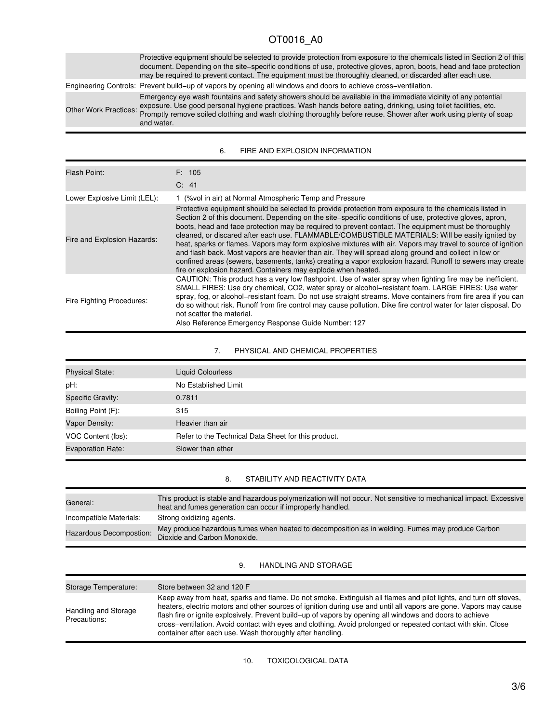Protective equipment should be selected to provide protection from exposure to the chemicals listed in Section 2 of this document. Depending on the site−specific conditions of use, protective gloves, apron, boots, head and face protection may be required to prevent contact. The equipment must be thoroughly cleaned, or discarded after each use. Engineering Controls: Prevent build−up of vapors by opening all windows and doors to achieve cross−ventilation.

Other Work Practices: exposure. Use good personal hygiene practices. Wash hands before eating, drinking, using toilet facilities, etc. Emergency eye wash fountains and safety showers should be available in the immediate vicinity of any potential Promptly remove soiled clothing and wash clothing thoroughly before reuse. Shower after work using plenty of soap and water.

| Flash Point:                 | F: 105<br>C: 41                                                                                                                                                                                                                                                                                                                                                                                                                                                                                                                                                                                                                                                                                                                                                                                                                    |
|------------------------------|------------------------------------------------------------------------------------------------------------------------------------------------------------------------------------------------------------------------------------------------------------------------------------------------------------------------------------------------------------------------------------------------------------------------------------------------------------------------------------------------------------------------------------------------------------------------------------------------------------------------------------------------------------------------------------------------------------------------------------------------------------------------------------------------------------------------------------|
| Lower Explosive Limit (LEL): | 1 (% vol in air) at Normal Atmospheric Temp and Pressure                                                                                                                                                                                                                                                                                                                                                                                                                                                                                                                                                                                                                                                                                                                                                                           |
| Fire and Explosion Hazards:  | Protective equipment should be selected to provide protection from exposure to the chemicals listed in<br>Section 2 of this document. Depending on the site-specific conditions of use, protective gloves, apron,<br>boots, head and face protection may be required to prevent contact. The equipment must be thoroughly<br>cleaned, or discared after each use. FLAMMABLE/COMBUSTIBLE MATERIALS: Will be easily ignited by<br>heat, sparks or flames. Vapors may form explosive mixtures with air. Vapors may travel to source of ignition<br>and flash back. Most vapors are heavier than air. They will spread along ground and collect in low or<br>confined areas (sewers, basements, tanks) creating a vapor explosion hazard. Runoff to sewers may create<br>fire or explosion hazard. Containers may explode when heated. |
| Fire Fighting Procedures:    | CAUTION: This product has a very low flashpoint. Use of water spray when fighting fire may be inefficient.<br>SMALL FIRES: Use dry chemical, CO2, water spray or alcohol-resistant foam. LARGE FIRES: Use water<br>spray, fog, or alcohol–resistant foam. Do not use straight streams. Move containers from fire area if you can<br>do so without risk. Runoff from fire control may cause pollution. Dike fire control water for later disposal. Do<br>not scatter the material.<br>Also Reference Emergency Response Guide Number: 127                                                                                                                                                                                                                                                                                           |

### 6. FIRE AND EXPLOSION INFORMATION

### 7. PHYSICAL AND CHEMICAL PROPERTIES

| <b>Physical State:</b>   | <b>Liquid Colourless</b>                            |
|--------------------------|-----------------------------------------------------|
| pH:                      | No Established Limit                                |
| Specific Gravity:        | 0.7811                                              |
| Boiling Point (F):       | 315                                                 |
| Vapor Density:           | Heavier than air                                    |
| VOC Content (lbs):       | Refer to the Technical Data Sheet for this product. |
| <b>Evaporation Rate:</b> | Slower than ether                                   |

#### 8. STABILITY AND REACTIVITY DATA

| General:                | This product is stable and hazardous polymerization will not occur. Not sensitive to mechanical impact. Excessive<br>heat and fumes generation can occur if improperly handled. |
|-------------------------|---------------------------------------------------------------------------------------------------------------------------------------------------------------------------------|
| Incompatible Materials: | Strong oxidizing agents.                                                                                                                                                        |
| Hazardous Decompostion: | May produce hazardous fumes when heated to decomposition as in welding. Fumes may produce Carbon<br>Dioxide and Carbon Monoxide.                                                |
|                         |                                                                                                                                                                                 |

#### 9. HANDLING AND STORAGE

| Storage Temperature:                 | Store between 32 and 120 F                                                                                                                                                                                                                                                                                                                                                                                                                                                                                                       |
|--------------------------------------|----------------------------------------------------------------------------------------------------------------------------------------------------------------------------------------------------------------------------------------------------------------------------------------------------------------------------------------------------------------------------------------------------------------------------------------------------------------------------------------------------------------------------------|
| Handling and Storage<br>Precautions: | Keep away from heat, sparks and flame. Do not smoke. Extinguish all flames and pilot lights, and turn off stoves,<br>heaters, electric motors and other sources of ignition during use and until all vapors are gone. Vapors may cause<br>flash fire or ignite explosively. Prevent build–up of vapors by opening all windows and doors to achieve<br>cross-ventilation. Avoid contact with eyes and clothing. Avoid prolonged or repeated contact with skin. Close<br>container after each use. Wash thoroughly after handling. |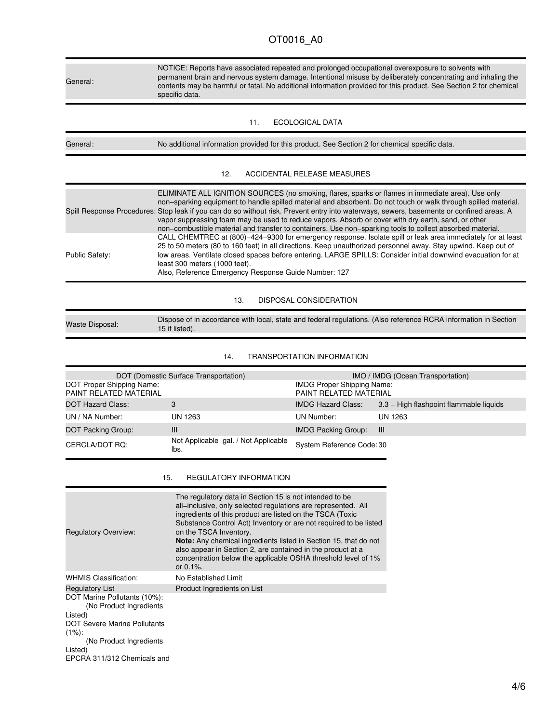General:

NOTICE: Reports have associated repeated and prolonged occupational overexposure to solvents with permanent brain and nervous system damage. Intentional misuse by deliberately concentrating and inhaling the contents may be harmful or fatal. No additional information provided for this product. See Section 2 for chemical specific data.

11. ECOLOGICAL DATA

| No additional information provided for this product. See Section 2 for chemical specific data. |
|------------------------------------------------------------------------------------------------|
|                                                                                                |

### 12. ACCIDENTAL RELEASE MEASURES

|                | ELIMINATE ALL IGNITION SOURCES (no smoking, flares, sparks or flames in immediate area). Use only<br>non-sparking equipment to handle spilled material and absorbent. Do not touch or walk through spilled material.<br>Spill Response Procedures: Stop leak if you can do so without risk. Prevent entry into waterways, sewers, basements or confined areas. A<br>vapor suppressing foam may be used to reduce vapors. Absorb or cover with dry earth, sand, or other<br>non-combustible material and transfer to containers. Use non-sparking tools to collect absorbed material. |
|----------------|--------------------------------------------------------------------------------------------------------------------------------------------------------------------------------------------------------------------------------------------------------------------------------------------------------------------------------------------------------------------------------------------------------------------------------------------------------------------------------------------------------------------------------------------------------------------------------------|
| Public Safety: | CALL CHEMTREC at (800)-424-9300 for emergency response. Isolate spill or leak area immediately for at least<br>25 to 50 meters (80 to 160 feet) in all directions. Keep unauthorized personnel away. Stay upwind. Keep out of<br>low areas. Ventilate closed spaces before entering. LARGE SPILLS: Consider initial downwind evacuation for at<br>least 300 meters (1000 feet).<br>Also, Reference Emergency Response Guide Number: 127                                                                                                                                              |

### 13. DISPOSAL CONSIDERATION

Waste Disposal: Dispose of in accordance with local, state and federal regulations. (Also reference RCRA information in Section 15 if listed).

### 14. TRANSPORTATION INFORMATION

|                                                     | DOT (Domestic Surface Transportation)        |                                                             | IMO / IMDG (Ocean Transportation)       |
|-----------------------------------------------------|----------------------------------------------|-------------------------------------------------------------|-----------------------------------------|
| DOT Proper Shipping Name:<br>PAINT RELATED MATERIAL |                                              | <b>IMDG Proper Shipping Name:</b><br>PAINT RELATED MATERIAL |                                         |
| <b>DOT Hazard Class:</b>                            |                                              | <b>IMDG Hazard Class:</b>                                   | 3.3 – High flashpoint flammable liquids |
| UN / NA Number:                                     | UN 1263                                      | UN Number:                                                  | UN 1263                                 |
| <b>DOT Packing Group:</b>                           | Ш                                            | <b>IMDG Packing Group:</b>                                  | -111                                    |
| CERCLA/DOT RO:                                      | Not Applicable gal. / Not Applicable<br>lbs. | System Reference Code: 30                                   |                                         |

### 15. REGULATORY INFORMATION

| <b>Regulatory Overview:</b>                                                                               | The regulatory data in Section 15 is not intended to be<br>all–inclusive, only selected regulations are represented. All<br>ingredients of this product are listed on the TSCA (Toxic<br>Substance Control Act) Inventory or are not required to be listed<br>on the TSCA Inventory.<br><b>Note:</b> Any chemical ingredients listed in Section 15, that do not<br>also appear in Section 2, are contained in the product at a<br>concentration below the applicable OSHA threshold level of 1%<br>or $0.1%$ . |
|-----------------------------------------------------------------------------------------------------------|----------------------------------------------------------------------------------------------------------------------------------------------------------------------------------------------------------------------------------------------------------------------------------------------------------------------------------------------------------------------------------------------------------------------------------------------------------------------------------------------------------------|
| <b>WHMIS Classification:</b>                                                                              | No Established Limit                                                                                                                                                                                                                                                                                                                                                                                                                                                                                           |
| <b>Regulatory List</b>                                                                                    | Product Ingredients on List                                                                                                                                                                                                                                                                                                                                                                                                                                                                                    |
| DOT Marine Pollutants (10%):<br>(No Product Ingredients<br>Listed)<br><b>DOT Severe Marine Pollutants</b> |                                                                                                                                                                                                                                                                                                                                                                                                                                                                                                                |
| $(1\%)$ :                                                                                                 |                                                                                                                                                                                                                                                                                                                                                                                                                                                                                                                |
| (No Product Ingredients)                                                                                  |                                                                                                                                                                                                                                                                                                                                                                                                                                                                                                                |
| Listed)                                                                                                   |                                                                                                                                                                                                                                                                                                                                                                                                                                                                                                                |
| EPCRA 311/312 Chemicals and                                                                               |                                                                                                                                                                                                                                                                                                                                                                                                                                                                                                                |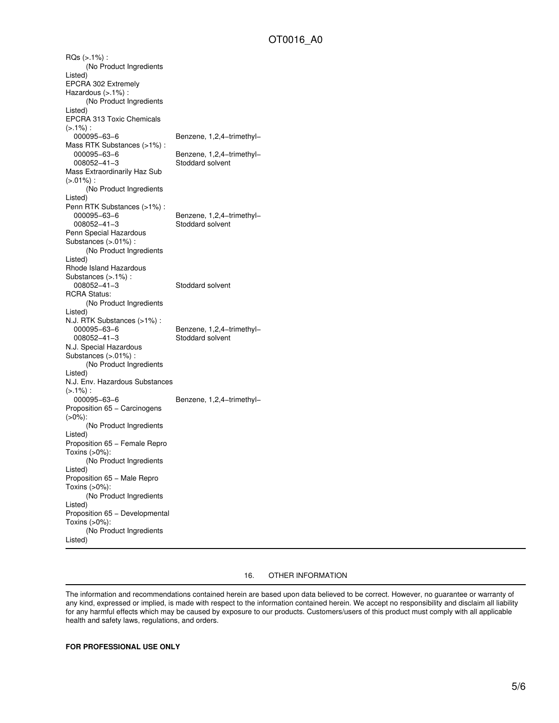RQs (>.1%) : (No Product Ingredients Listed) EPCRA 302 Extremely Hazardous (>.1%) : (No Product Ingredients Listed) EPCRA 313 Toxic Chemicals  $(>.1\%)$ : 000095−63−6 Benzene, 1,2,4−trimethyl− Mass RTK Substances (>1%) : 000095−63−6 Benzene, 1,2,4−trimethyl− 008052−41−3 Stoddard solvent Mass Extraordinarily Haz Sub  $(>0.01\%)$ : (No Product Ingredients Listed) Penn RTK Substances (>1%) :<br>000095-63-6 000095−63−6 Benzene, 1,2,4−trimethyl− 008052−41−3 Stoddard solvent Penn Special Hazardous Substances (>.01%) : (No Product Ingredients Listed) Rhode Island Hazardous Substances (>.1%) : 008052−41−3 Stoddard solvent RCRA Status: (No Product Ingredients Listed) N.J. RTK Substances (>1%) : 000095−63−6 Benzene, 1,2,4-trimethyl-<br>008052−41−3 Stoddard solvent Stoddard solvent N.J. Special Hazardous Substances (>.01%) : (No Product Ingredients Listed) N.J. Env. Hazardous Substances  $(>.1\%)$ : 000095−63−6 Benzene, 1,2,4−trimethyl− Proposition 65 - Carcinogens (>0%): (No Product Ingredients Listed) Proposition 65 − Female Repro Toxins (>0%): (No Product Ingredients Listed) Proposition 65 − Male Repro Toxins (>0%): (No Product Ingredients Listed) Proposition 65 − Developmental Toxins (>0%): (No Product Ingredients Listed)

### 16. OTHER INFORMATION

The information and recommendations contained herein are based upon data believed to be correct. However, no guarantee or warranty of any kind, expressed or implied, is made with respect to the information contained herein. We accept no responsibility and disclaim all liability for any harmful effects which may be caused by exposure to our products. Customers/users of this product must comply with all applicable health and safety laws, regulations, and orders.

**FOR PROFESSIONAL USE ONLY**